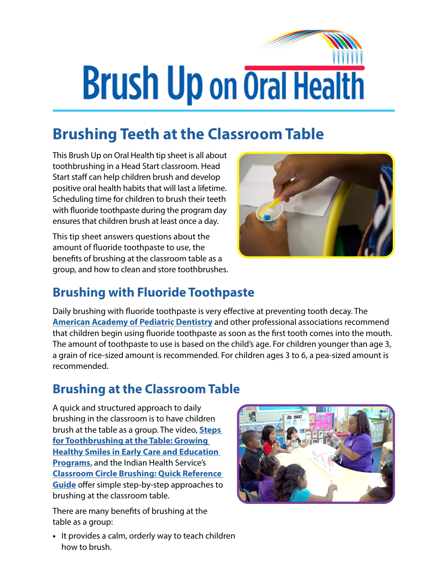# **Brush Up on Oral Health**

## **Brushing Teeth at the Classroom Table**

This Brush Up on Oral Health tip sheet is all about toothbrushing in a Head Start classroom. Head Start staff can help children brush and develop positive oral health habits that will last a lifetime. Scheduling time for children to brush their teeth with fluoride toothpaste during the program day ensures that children brush at least once a day.

This tip sheet answers questions about the amount of fluoride toothpaste to use, the benefits of brushing at the classroom table as a group, and how to clean and store toothbrushes.



#### **Brushing with Fluoride Toothpaste**

Daily brushing with fluoride toothpaste is very effective at preventing tooth decay. The **[American Academy of Pediatric Dentistry](http://www.aapd.org/media/policies_guidelines/g_fluoridetherapy.pdf)** and other professional associations recommend that children begin using fluoride toothpaste as soon as the first tooth comes into the mouth. The amount of toothpaste to use is based on the child's age. For children younger than age 3, a grain of rice-sized amount is recommended. For children ages 3 to 6, a pea-sized amount is recommended.

#### **Brushing at the Classroom Table**

A quick and structured approach to daily brushing in the classroom is to have children brush at the table as a group. The video, **[Steps](https://eclkc.ohs.acf.hhs.gov/video/steps-toothbrushing-table-growing-healthy-smiles-early-care-education-programs)  [for Toothbrushing at the Table: Growing](https://eclkc.ohs.acf.hhs.gov/video/steps-toothbrushing-table-growing-healthy-smiles-early-care-education-programs)  [Healthy Smiles in Early Care and Education](https://eclkc.ohs.acf.hhs.gov/video/steps-toothbrushing-table-growing-healthy-smiles-early-care-education-programs)  [Programs](https://eclkc.ohs.acf.hhs.gov/video/steps-toothbrushing-table-growing-healthy-smiles-early-care-education-programs)**, and the Indian Health Service's **[Classroom Circle Brushing: Quick Reference](https://www.ihs.gov/HeadStart/documents/ClassroomCircleBrushingPoster.pdf)  [Guide](https://www.ihs.gov/HeadStart/documents/ClassroomCircleBrushingPoster.pdf)** offer simple step-by-step approaches to brushing at the classroom table.

There are many benefits of brushing at the table as a group:

**•** It provides a calm, orderly way to teach children how to brush.